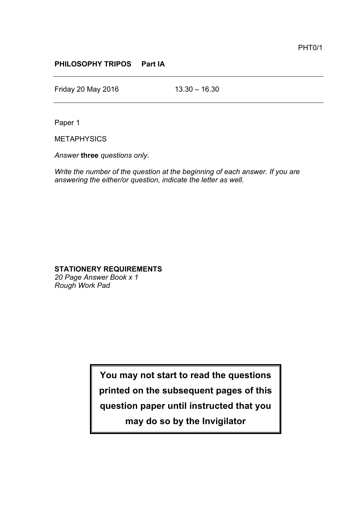## **PHILOSOPHY TRIPOS Part IA**

Friday 20 May 2016 13.30 – 16.30

Paper 1

**METAPHYSICS** 

*Answer* **three** *questions only.*

*Write the number of the question at the beginning of each answer. If you are answering the either/or question, indicate the letter as well.*

## **STATIONERY REQUIREMENTS**

*20 Page Answer Book x 1 Rough Work Pad*

> **You may not start to read the questions printed on the subsequent pages of this question paper until instructed that you may do so by the Invigilator**